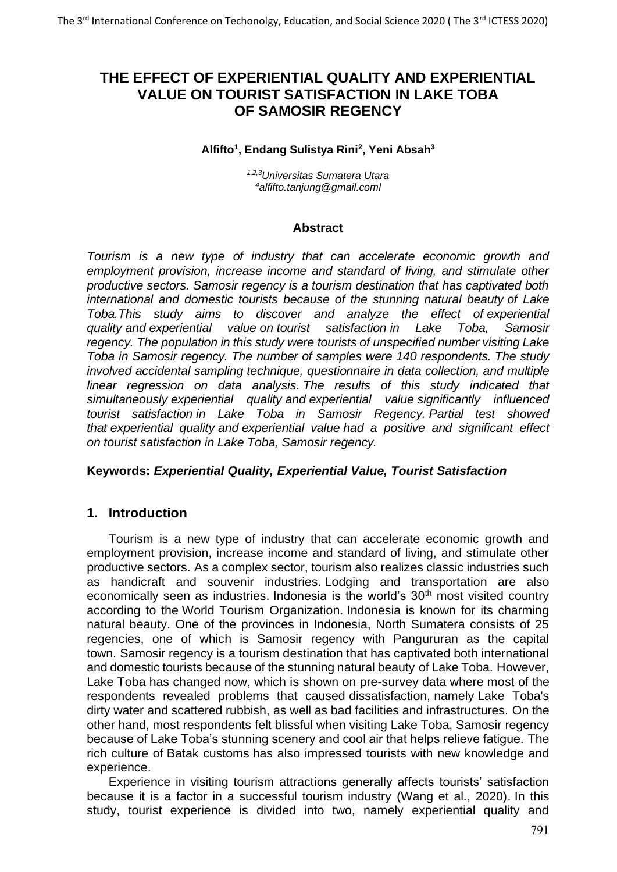# **THE EFFECT OF EXPERIENTIAL QUALITY AND EXPERIENTIAL VALUE ON TOURIST SATISFACTION IN LAKE TOBA OF SAMOSIR REGENCY**

### **Alfifto<sup>1</sup> , Endang Sulistya Rini<sup>2</sup> , Yeni Absah<sup>3</sup>**

*1,2,3Universitas Sumatera Utara <sup>4</sup>alfifto.tanjung@gmail.coml*

### **Abstract**

*Tourism is a new type of industry that can accelerate economic growth and employment provision, increase income and standard of living, and stimulate other productive sectors. Samosir regency is a tourism destination that has captivated both international and domestic tourists because of the stunning natural beauty of Lake Toba.This study aims to discover and analyze the effect of experiential quality and experiential value on tourist satisfaction in Lake Toba, Samosir regency. The population in this study were tourists of unspecified number visiting Lake Toba in Samosir regency. The number of samples were 140 respondents. The study involved accidental sampling technique, questionnaire in data collection, and multiple linear regression on data analysis. The results of this study indicated that simultaneously experiential quality and experiential value significantly influenced tourist satisfaction in Lake Toba in Samosir Regency. Partial test showed that experiential quality and experiential value had a positive and significant effect on tourist satisfaction in Lake Toba, Samosir regency.*

### **Keywords:** *Experiential Quality, Experiential Value, Tourist Satisfaction*

## **1. Introduction**

Tourism is a new type of industry that can accelerate economic growth and employment provision, increase income and standard of living, and stimulate other productive sectors. As a complex sector, tourism also realizes classic industries such as handicraft and souvenir industries. Lodging and transportation are also economically seen as industries. Indonesia is the world's  $30<sup>th</sup>$  most visited country according to the World Tourism Organization. Indonesia is known for its charming natural beauty. One of the provinces in Indonesia, North Sumatera consists of 25 regencies, one of which is Samosir regency with Pangururan as the capital town. Samosir regency is a tourism destination that has captivated both international and domestic tourists because of the stunning natural beauty of Lake Toba. However, Lake Toba has changed now, which is shown on pre-survey data where most of the respondents revealed problems that caused dissatisfaction, namely Lake Toba's dirty water and scattered rubbish, as well as bad facilities and infrastructures. On the other hand, most respondents felt blissful when visiting Lake Toba, Samosir regency because of Lake Toba's stunning scenery and cool air that helps relieve fatigue. The rich culture of Batak customs has also impressed tourists with new knowledge and experience.

Experience in visiting tourism attractions generally affects tourists' satisfaction because it is a factor in a successful tourism industry (Wang et al., 2020). In this study, tourist experience is divided into two, namely experiential quality and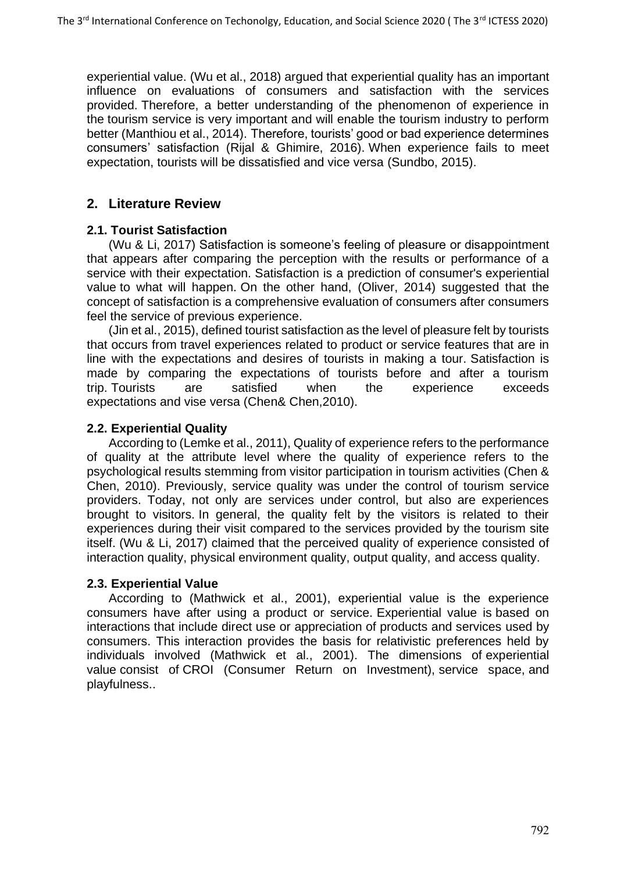experiential value. (Wu et al., 2018) argued that experiential quality has an important influence on evaluations of consumers and satisfaction with the services provided. Therefore, a better understanding of the phenomenon of experience in the tourism service is very important and will enable the tourism industry to perform better (Manthiou et al., 2014). Therefore, tourists' good or bad experience determines consumers' satisfaction (Rijal & Ghimire, 2016). When experience fails to meet expectation, tourists will be dissatisfied and vice versa (Sundbo, 2015).

## **2. Literature Review**

## **2.1. Tourist Satisfaction**

(Wu & Li, 2017) Satisfaction is someone's feeling of pleasure or disappointment that appears after comparing the perception with the results or performance of a service with their expectation. Satisfaction is a prediction of consumer's experiential value to what will happen. On the other hand, (Oliver, 2014) suggested that the concept of satisfaction is a comprehensive evaluation of consumers after consumers feel the service of previous experience.

(Jin et al., 2015), defined tourist satisfaction as the level of pleasure felt by tourists that occurs from travel experiences related to product or service features that are in line with the expectations and desires of tourists in making a tour. Satisfaction is made by comparing the expectations of tourists before and after a tourism trip. Tourists are satisfied when the experience exceeds expectations and vise versa (Chen& Chen,2010).

### **2.2. Experiential Quality**

According to (Lemke et al., 2011), Quality of experience refers to the performance of quality at the attribute level where the quality of experience refers to the psychological results stemming from visitor participation in tourism activities (Chen & Chen, 2010). Previously, service quality was under the control of tourism service providers. Today, not only are services under control, but also are experiences brought to visitors. In general, the quality felt by the visitors is related to their experiences during their visit compared to the services provided by the tourism site itself. (Wu & Li, 2017) claimed that the perceived quality of experience consisted of interaction quality, physical environment quality, output quality, and access quality.

### **2.3. Experiential Value**

According to (Mathwick et al., 2001), experiential value is the experience consumers have after using a product or service. Experiential value is based on interactions that include direct use or appreciation of products and services used by consumers. This interaction provides the basis for relativistic preferences held by individuals involved (Mathwick et al., 2001). The dimensions of experiential value consist of CROI (Consumer Return on Investment), service space, and playfulness..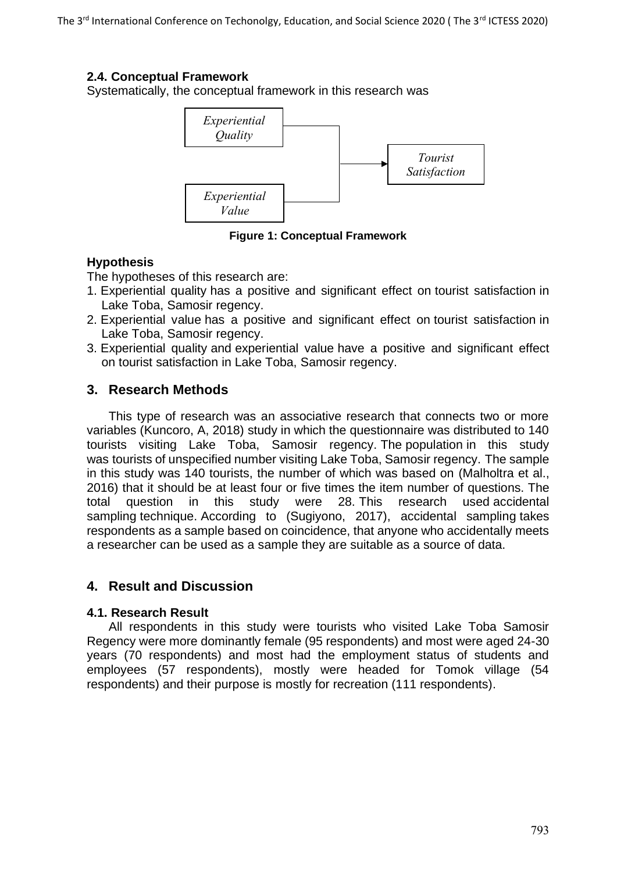## **2.4. Conceptual Framework**

Systematically, the conceptual framework in this research was



**Figure 1: Conceptual Framework**

## **Hypothesis**

The hypotheses of this research are:

- 1. Experiential quality has a positive and significant effect on tourist satisfaction in Lake Toba, Samosir regency.
- 2. Experiential value has a positive and significant effect on tourist satisfaction in Lake Toba, Samosir regency.
- 3. Experiential quality and experiential value have a positive and significant effect on tourist satisfaction in Lake Toba, Samosir regency.

# **3. Research Methods**

This type of research was an associative research that connects two or more variables (Kuncoro, A, 2018) study in which the questionnaire was distributed to 140 tourists visiting Lake Toba, Samosir regency. The population in this study was tourists of unspecified number visiting Lake Toba, Samosir regency. The sample in this study was 140 tourists, the number of which was based on (Malholtra et al., 2016) that it should be at least four or five times the item number of questions. The total question in this study were 28. This research used accidental sampling technique. According to (Sugiyono, 2017), accidental sampling takes respondents as a sample based on coincidence, that anyone who accidentally meets a researcher can be used as a sample they are suitable as a source of data.

# **4. Result and Discussion**

## **4.1. Research Result**

All respondents in this study were tourists who visited Lake Toba Samosir Regency were more dominantly female (95 respondents) and most were aged 24-30 years (70 respondents) and most had the employment status of students and employees (57 respondents), mostly were headed for Tomok village (54 respondents) and their purpose is mostly for recreation (111 respondents).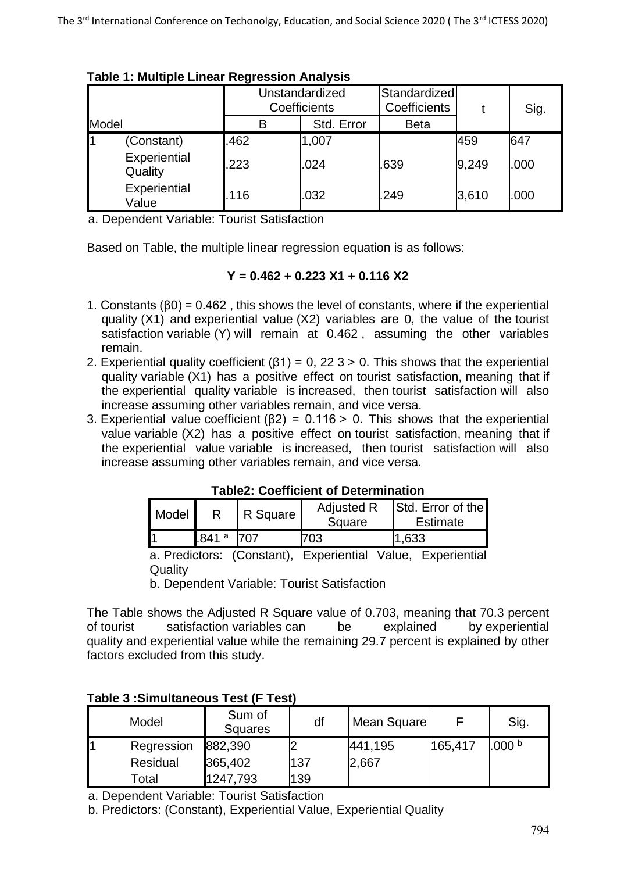|                         | Unstandardized<br>Coefficients |            | Standardized<br>Coefficients |       | Sig. |
|-------------------------|--------------------------------|------------|------------------------------|-------|------|
| Model                   | В                              | Std. Error | <b>Beta</b>                  |       |      |
| (Constant)              | .462                           | 1,007      |                              | 459   | 647  |
| Experiential<br>Quality | .223                           | .024       | .639                         | 9,249 | .000 |
| Experiential<br>Value   | 116                            | .032       | 249                          | 3,610 | .000 |

**Table 1: Multiple Linear Regression Analysis**

a. Dependent Variable: Tourist Satisfaction

Based on Table, the multiple linear regression equation is as follows:

## **Y = 0.462 + 0.223 X1 + 0.116 X2**

- 1. Constants ( $β0$ ) = 0.462, this shows the level of constants, where if the experiential quality (X1) and experiential value (X2) variables are 0, the value of the tourist satisfaction variable (Y) will remain at 0.462 , assuming the other variables remain.
- 2. Experiential quality coefficient ( $\beta$ 1) = 0, 22 3 > 0. This shows that the experiential quality variable (X1) has a positive effect on tourist satisfaction, meaning that if the experiential quality variable is increased, then tourist satisfaction will also increase assuming other variables remain, and vice versa.
- 3. Experiential value coefficient ( $\beta$ 2) = 0.116 > 0. This shows that the experiential value variable (X2) has a positive effect on tourist satisfaction, meaning that if the experiential value variable is increased, then tourist satisfaction will also increase assuming other variables remain, and vice versa.

| Model         |     | R Square | Adjusted R<br>Square | Std. Error of the<br><b>Estimate</b> |  |  |
|---------------|-----|----------|----------------------|--------------------------------------|--|--|
|               | 841 |          |                      | 633                                  |  |  |
| - Des Katanas |     |          |                      |                                      |  |  |

**Table2: Coefficient of Determination**

a. Predictors: (Constant), Experiential Value, Experiential **Quality** 

b. Dependent Variable: Tourist Satisfaction

The Table shows the Adjusted R Square value of 0.703, meaning that 70.3 percent of tourist satisfaction variables can be explained by experiential quality and experiential value while the remaining 29.7 percent is explained by other factors excluded from this study.

## **Table 3 :Simultaneous Test (F Test)**

| Model      | Sum of<br><b>Squares</b> | df  | Mean Square |         | Sig.              |
|------------|--------------------------|-----|-------------|---------|-------------------|
| Regression | 882,390                  |     | 441,195     | 165,417 | .000 <sup>b</sup> |
| Residual   | 365,402                  | 137 | 2,667       |         |                   |
| Гоtal      | 1247,793                 | 139 |             |         |                   |

a. Dependent Variable: Tourist Satisfaction

b. Predictors: (Constant), Experiential Value, Experiential Quality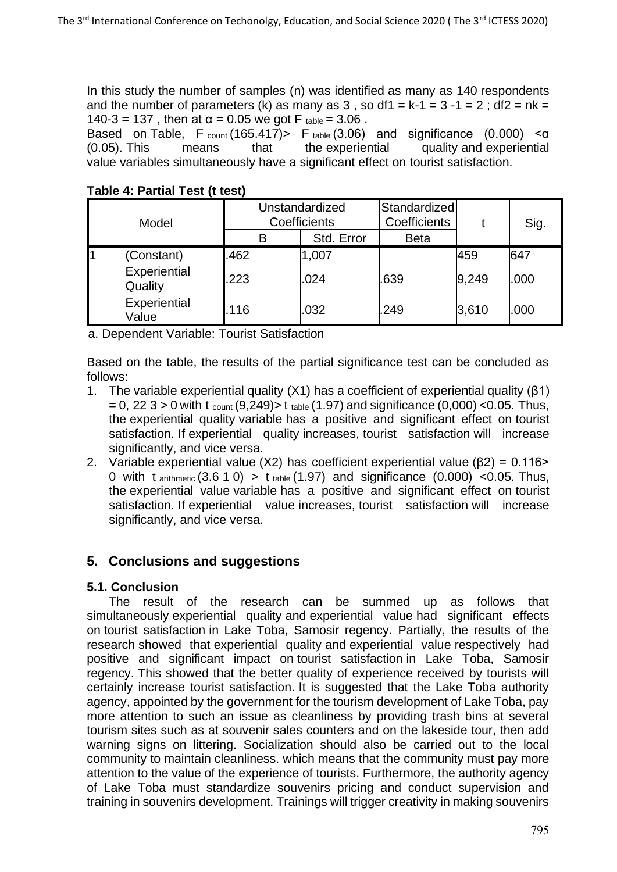In this study the number of samples (n) was identified as many as 140 respondents and the number of parameters (k) as many as  $3$ , so df1 = k-1 =  $3 -1 = 2$ ; df2 = nk = 140-3 = 137, then at  $\alpha$  = 0.05 we got F  $_{table}$  = 3.06.

Based on Table, F  $_{\text{count}}(165.417)$  F  $_{\text{table}}(3.06)$  and significance  $(0.000)$  <  $\alpha$ (0.05). This means that the experiential quality and experiential value variables simultaneously have a significant effect on tourist satisfaction.

| Model |                         | Unstandardized<br>Coefficients |            | Standardized<br>Coefficients |       | Sig. |
|-------|-------------------------|--------------------------------|------------|------------------------------|-------|------|
|       |                         | B                              | Std. Error | <b>Beta</b>                  |       |      |
|       | (Constant)              | .462                           | 1,007      |                              | 459   | 647  |
|       | Experiential<br>Quality | .223                           | .024       | .639                         | 9,249 | .000 |
|       | Experiential<br>Value   | 116                            | .032       | .249                         | 3,610 | .000 |

### **Table 4: Partial Test (t test)**

a. Dependent Variable: Tourist Satisfaction

Based on the table, the results of the partial significance test can be concluded as follows:

- 1. The variable experiential quality (X1) has a coefficient of experiential quality (β1)  $= 0$ , 22 3 > 0 with t  $_{\text{count}}(9,249)$  t  $_{\text{table}}(1.97)$  and significance (0,000) <0.05. Thus, the experiential quality variable has a positive and significant effect on tourist satisfaction. If experiential quality increases, tourist satisfaction will increase significantly, and vice versa.
- 2. Variable experiential value (X2) has coefficient experiential value ( $β2$ ) = 0.116> 0 with t  $\pi$ ithmetic (3.6 1 0) > t  $\pi$  table (1.97) and significance (0.000) <0.05. Thus, the experiential value variable has a positive and significant effect on tourist satisfaction. If experiential value increases, tourist satisfaction will increase significantly, and vice versa.

# **5. Conclusions and suggestions**

### **5.1. Conclusion**

The result of the research can be summed up as follows that simultaneously experiential quality and experiential value had significant effects on tourist satisfaction in Lake Toba, Samosir regency. Partially, the results of the research showed that experiential quality and experiential value respectively had positive and significant impact on tourist satisfaction in Lake Toba, Samosir regency. This showed that the better quality of experience received by tourists will certainly increase tourist satisfaction. It is suggested that the Lake Toba authority agency, appointed by the government for the tourism development of Lake Toba, pay more attention to such an issue as cleanliness by providing trash bins at several tourism sites such as at souvenir sales counters and on the lakeside tour, then add warning signs on littering. Socialization should also be carried out to the local community to maintain cleanliness. which means that the community must pay more attention to the value of the experience of tourists. Furthermore, the authority agency of Lake Toba must standardize souvenirs pricing and conduct supervision and training in souvenirs development. Trainings will trigger creativity in making souvenirs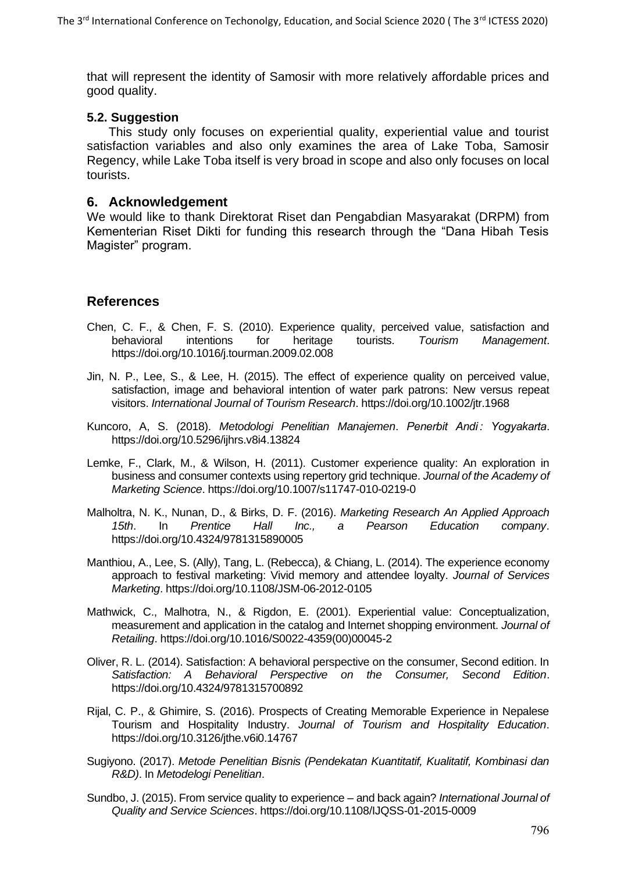that will represent the identity of Samosir with more relatively affordable prices and good quality.

#### **5.2. Suggestion**

This study only focuses on experiential quality, experiential value and tourist satisfaction variables and also only examines the area of Lake Toba, Samosir Regency, while Lake Toba itself is very broad in scope and also only focuses on local tourists.

### **6. Acknowledgement**

We would like to thank Direktorat Riset dan Pengabdian Masyarakat (DRPM) from Kementerian Riset Dikti for funding this research through the "Dana Hibah Tesis Magister" program.

### **References**

- Chen, C. F., & Chen, F. S. (2010). Experience quality, perceived value, satisfaction and behavioral intentions for heritage tourists. *Tourism Management*. https://doi.org/10.1016/j.tourman.2009.02.008
- Jin, N. P., Lee, S., & Lee, H. (2015). The effect of experience quality on perceived value, satisfaction, image and behavioral intention of water park patrons: New versus repeat visitors. *International Journal of Tourism Research*. https://doi.org/10.1002/jtr.1968
- Kuncoro, A, S. (2018). *Metodologi Penelitian Manajemen*. *Penerbit Andi : Yogyakarta*. https://doi.org/10.5296/ijhrs.v8i4.13824
- Lemke, F., Clark, M., & Wilson, H. (2011). Customer experience quality: An exploration in business and consumer contexts using repertory grid technique. *Journal of the Academy of Marketing Science*. https://doi.org/10.1007/s11747-010-0219-0
- Malholtra, N. K., Nunan, D., & Birks, D. F. (2016). *Marketing Research An Applied Approach 15th*. In *Prentice Hall Inc., a Pearson Education company*. https://doi.org/10.4324/9781315890005
- Manthiou, A., Lee, S. (Ally), Tang, L. (Rebecca), & Chiang, L. (2014). The experience economy approach to festival marketing: Vivid memory and attendee loyalty. *Journal of Services Marketing*. https://doi.org/10.1108/JSM-06-2012-0105
- Mathwick, C., Malhotra, N., & Rigdon, E. (2001). Experiential value: Conceptualization, measurement and application in the catalog and Internet shopping environment. *Journal of Retailing*. https://doi.org/10.1016/S0022-4359(00)00045-2
- Oliver, R. L. (2014). Satisfaction: A behavioral perspective on the consumer, Second edition. In *Satisfaction: A Behavioral Perspective on the Consumer, Second Edition*. https://doi.org/10.4324/9781315700892
- Rijal, C. P., & Ghimire, S. (2016). Prospects of Creating Memorable Experience in Nepalese Tourism and Hospitality Industry. *Journal of Tourism and Hospitality Education*. https://doi.org/10.3126/jthe.v6i0.14767
- Sugiyono. (2017). *Metode Penelitian Bisnis (Pendekatan Kuantitatif, Kualitatif, Kombinasi dan R&D)*. In *Metodelogi Penelitian*.
- Sundbo, J. (2015). From service quality to experience and back again? *International Journal of Quality and Service Sciences*. https://doi.org/10.1108/IJQSS-01-2015-0009